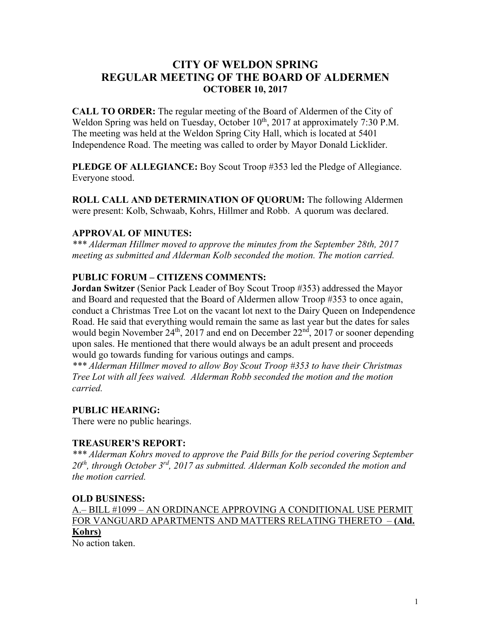# **CITY OF WELDON SPRING REGULAR MEETING OF THE BOARD OF ALDERMEN OCTOBER 10, 2017**

**CALL TO ORDER:** The regular meeting of the Board of Aldermen of the City of Weldon Spring was held on Tuesday, October 10<sup>th</sup>, 2017 at approximately 7:30 P.M. The meeting was held at the Weldon Spring City Hall, which is located at 5401 Independence Road. The meeting was called to order by Mayor Donald Licklider.

**PLEDGE OF ALLEGIANCE:** Boy Scout Troop #353 led the Pledge of Allegiance. Everyone stood.

**ROLL CALL AND DETERMINATION OF QUORUM:** The following Aldermen were present: Kolb, Schwaab, Kohrs, Hillmer and Robb. A quorum was declared.

#### **APPROVAL OF MINUTES:**

*\*\*\* Alderman Hillmer moved to approve the minutes from the September 28th, 2017 meeting as submitted and Alderman Kolb seconded the motion. The motion carried.*

## **PUBLIC FORUM – CITIZENS COMMENTS:**

**Jordan Switzer** (Senior Pack Leader of Boy Scout Troop #353) addressed the Mayor and Board and requested that the Board of Aldermen allow Troop #353 to once again, conduct a Christmas Tree Lot on the vacant lot next to the Dairy Queen on Independence Road. He said that everything would remain the same as last year but the dates for sales would begin November 24<sup>th</sup>, 2017 and end on December 22<sup>nd</sup>, 2017 or sooner depending upon sales. He mentioned that there would always be an adult present and proceeds would go towards funding for various outings and camps.

*\*\*\* Alderman Hillmer moved to allow Boy Scout Troop #353 to have their Christmas Tree Lot with all fees waived. Alderman Robb seconded the motion and the motion carried.*

## **PUBLIC HEARING:**

There were no public hearings.

#### **TREASURER'S REPORT:**

*\*\*\* Alderman Kohrs moved to approve the Paid Bills for the period covering September 20th, through October 3rd, 2017 as submitted. Alderman Kolb seconded the motion and the motion carried.*

#### **OLD BUSINESS:**

A.– BILL #1099 – AN ORDINANCE APPROVING A CONDITIONAL USE PERMIT FOR VANGUARD APARTMENTS AND MATTERS RELATING THERETO – **(Ald. Kohrs)**

No action taken.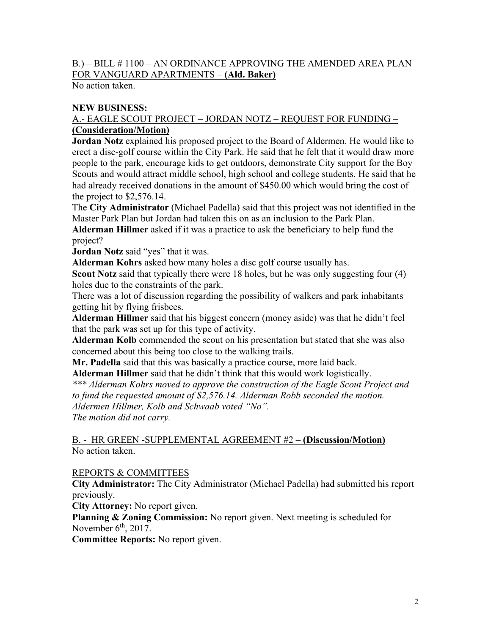## B.) – BILL # 1100 – AN ORDINANCE APPROVING THE AMENDED AREA PLAN FOR VANGUARD APARTMENTS – **(Ald. Baker)**

No action taken.

### **NEW BUSINESS:**

#### A.- EAGLE SCOUT PROJECT – JORDAN NOTZ – REQUEST FOR FUNDING – **(Consideration/Motion)**

**Jordan Notz** explained his proposed project to the Board of Aldermen. He would like to erect a disc-golf course within the City Park. He said that he felt that it would draw more people to the park, encourage kids to get outdoors, demonstrate City support for the Boy Scouts and would attract middle school, high school and college students. He said that he had already received donations in the amount of \$450.00 which would bring the cost of the project to \$2,576.14.

The **City Administrator** (Michael Padella) said that this project was not identified in the Master Park Plan but Jordan had taken this on as an inclusion to the Park Plan.

**Alderman Hillmer** asked if it was a practice to ask the beneficiary to help fund the project?

**Jordan Notz** said "yes" that it was.

**Alderman Kohrs** asked how many holes a disc golf course usually has.

**Scout Notz** said that typically there were 18 holes, but he was only suggesting four (4) holes due to the constraints of the park.

There was a lot of discussion regarding the possibility of walkers and park inhabitants getting hit by flying frisbees.

**Alderman Hillmer** said that his biggest concern (money aside) was that he didn't feel that the park was set up for this type of activity.

**Alderman Kolb** commended the scout on his presentation but stated that she was also concerned about this being too close to the walking trails.

**Mr. Padella** said that this was basically a practice course, more laid back.

**Alderman Hillmer** said that he didn't think that this would work logistically.

*\*\*\* Alderman Kohrs moved to approve the construction of the Eagle Scout Project and to fund the requested amount of \$2,576.14. Alderman Robb seconded the motion. Aldermen Hillmer, Kolb and Schwaab voted "No".* 

*The motion did not carry.* 

#### B. - HR GREEN -SUPPLEMENTAL AGREEMENT #2 – **(Discussion/Motion)** No action taken.

#### REPORTS & COMMITTEES

**City Administrator:** The City Administrator (Michael Padella) had submitted his report previously.

**City Attorney:** No report given.

**Planning & Zoning Commission:** No report given. Next meeting is scheduled for November  $6<sup>th</sup>$ , 2017.

**Committee Reports:** No report given.